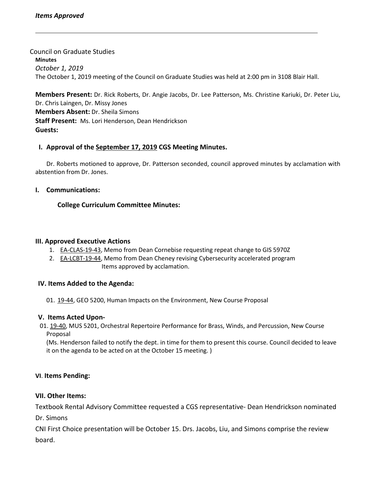Council on Graduate Studies

**Minutes** *October 1, 2019* The October 1, 2019 meeting of the Council on Graduate Studies was held at 2:00 pm in 3108 Blair Hall.

**Members Present:** Dr. Rick Roberts, Dr. Angie Jacobs, Dr. Lee Patterson, Ms. Christine Kariuki, Dr. Peter Liu, Dr. Chris Laingen, Dr. Missy Jones **Members Absent:** Dr. Sheila Simons **Staff Present:** Ms. Lori Henderson, Dean Hendrickson **Guests:**

## **I. Approval of the [September 17,](http://castle.eiu.edu/eiucgs/currentminutes/Minutes9-17-19.pdf) 2019 CGS Meeting [Minutes.](http://castle.eiu.edu/eiucgs/currentminutes/Minutes02-16-16.pdf)**

Dr. Roberts motioned to approve, Dr. Patterson seconded, council approved minutes by acclamation with abstention from Dr. Jones.

### **I. Communications:**

# **College Curriculum Committee Minutes:**

### **III. Approved Executive Actions**

- 1. [EA-CLAS-19-43,](http://castle.eiu.edu/eiucgs/exec-actions/EA-CLAS-19-43.pdf) Memo from Dean Cornebise requesting repeat change to GIS 5970Z
- 2. [EA-LCBT-19-44,](http://castle.eiu.edu/eiucgs/exec-actions/EA-LCBT-19-44.pdf) Memo from Dean Cheney revising Cybersecurity accelerated program Items approved by acclamation.

### **IV. Items Added to the Agenda:**

01. [19-44](http://castle.eiu.edu/eiucgs/currentagendaitems/agenda19-44.pdf), GEO 5200, Human Impacts on the Environment, New Course Proposal

### **V. Items Acted Upon-**

01. [19-40,](http://castle.eiu.edu/eiucgs/currentagendaitems/agenda19-40.pdf) MUS 5201, Orchestral Repertoire Performance for Brass, Winds, and Percussion, New Course Proposal

(Ms. Henderson failed to notify the dept. in time for them to present this course. Council decided to leave it on the agenda to be acted on at the October 15 meeting. )

# **VI**. **Items Pending:**

### **VII. Other Items:**

Textbook Rental Advisory Committee requested a CGS representative- Dean Hendrickson nominated Dr. Simons

CNI First Choice presentation will be October 15. Drs. Jacobs, Liu, and Simons comprise the review board.